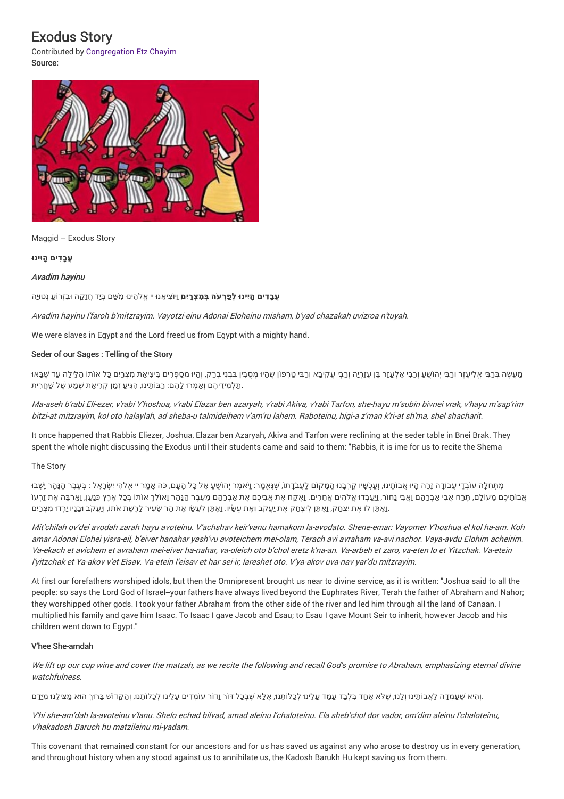# Exodus Story

Contributed by Congregation Etz Chayim Source:



Maggid – Exodus Story

# **ֲעבָ ִדים ָהיִינו ּ**

# Avadim hayinu

ִמ ָּׁשם בְּיָד ֲחזָ ָקה ו ּבִזְר ֹו ַע נְטויָּה יי ֱא ֹל ֵהינו ּ **ֲעבָ ִדים ָהיִינו ּלְ ַפ ְר ֹעה בְּ ִמצְָריִ** ,**ם** וַי ֹוּצִי ֵאנו ּ

Avadim hayinu l'faroh b'mitzrayim. Vayotzi-einu Adonai Eloheinu misham, b'yad chazakah uvizroa <sup>n</sup>'tuyah.

We were slaves in Egypt and the Lord freed us from Egypt with a mighty hand.

# Seder of our Sages : Telling of the Story

מַעְשָׂה בְּכַבִּי אֱלִיעָזָר וְכַבִּי יְהוֹשֻעַ וְכַבִּי אֶלְעָזָר בֶּן עֲזַרְיֶה וְכַבְּי עֲקִיבָא וְכַבִּי טַרְפוֹן שֶׁהָיוּ מְסֻבִּין בְּבָי בְרַק, וְהוּ מְסַפְּרִים בִּיצִיאַת מִצְרַים כָּל אוֹתוֹ הַלַּיְלָה עַד שָׁבָ ֿתַלְמִידֵיהֶם וְאָמְרוּ לָהֶם: רַבּוֹתֵינוּ, הִגִּיעַ זְמַן קְרִיאַת שְׁמַע שֶׁל שַׁחֲרִית.

Ma-aseh b'rabi Eli-ezer, <sup>v</sup>'rabi Y'hoshua, <sup>v</sup>'rabi Elazar ben azaryah, <sup>v</sup>'rabi Akiva, <sup>v</sup>'rabi Tarfon, she-hayu <sup>m</sup>'subin bivnei vrak, <sup>v</sup>'hayu <sup>m</sup>'sap'rim bitzi-at mitzrayim, kol oto halaylah, ad sheba-u talmideihem <sup>v</sup>'am'ru lahem. Raboteinu, higi-a <sup>z</sup>'man k'ri-at sh'ma, shel shacharit.

It once happened that Rabbis Eliezer, Joshua, Elazar ben Azaryah, Akiva and Tarfon were reclining at the seder table in Bnei Brak. They spent the whole night discussing the Exodus until their students came and said to them: "Rabbis, it is ime for us to recite the Shema

# The Story

מִתְּחָלָה עוֹבְדֵי עֲבוֹדָה זָרָה הָיוּ אֲבוֹתֵינוּ, וְעַכְשָׁיו קַרְבָנוּ הַמַּקוֹם לַעֲבֹדֶתוֹ, שָׁנָּאֲמַר: וַיֹּאמַר יְהוֹשָׁעַ אֶל כָּל הָעָם, כֹּה אֲמַר יי אֱלֹהָי יִשְׂרָאֵל : בְּעֵבֶר הַנָּהַר יָשְׁבוּ ָאבותיכֶם מעוֹלַם, תֶּרח אָבי אבְרַהַם וַאָבי נַחוֹר, וִיעבְדוּ אֱלהים אַחרים. וַאֲקח אֶת אֲביכֶם אֶת אבְרָהֶם מעבֶר הנַהַר וַאוֹלךָ אוֹתוֹ בְּכַל אֶרֶץ כְּנַען, וַארִבֶּה אֶת זִרְעוֹ וָאָתֵּן לוֹ אֶת יִצְחָק, וָאָתֵן לְיִצְחֶק אֶת יַעֲקֹב וְאֶת עֲשָׂיו. וָאֶתֵּן לְעֵשָׂו אֶת הַר שֵׂעִיר לָרֶשֶׁת אֹתוֹ, וְיַעֲקֹב וּבָנָיו יָרְדוּ מִצְרָיִם.

Mit'chilah ov'dei avodah zarah hayu avoteinu. V'achshav keir'vanu hamakom la-avodato. Shene-emar: Vayomer Y'hoshua el kol ha-am. Koh amar Adonai Elohei yisra-eil, b'eiver hanahar yash'vu avoteichem mei-olam, Terach avi avraham va-avi nachor. Vaya-avdu Elohim acheirim. Va-ekach et avichem et avraham mei-eiver ha-nahar, va-oleich oto b'chol eretz k'na-an. Va-arbeh et zaro, va-eten lo et Yitzchak. Va-etein l'yitzchak et Ya-akov <sup>v</sup>'et Eisav. Va-etein l'eisav et har sei-ir, lareshet oto. V'ya-akov uva-nav yar'du mitzrayim.

At first our forefathers worshiped idols, but then the Omnipresent brought us near to divine service, as it is written: "Joshua said to all the people: so says the Lord God of Israel--your fathers have always lived beyond the Euphrates River, Terah the father of Abraham and Nahor; they worshipped other gods. I took your father Abraham from the other side of the river and led him through all the land of Canaan. I multiplied his family and gave him Isaac. To Isaac I gave Jacob and Esau; to Esau I gave Mount Seir to inherit, however Jacob and his children went down to Egypt."

# V'hee She-amdah

We lift up our cup wine and cover the matzah, as we recite the following and recall God's promise to Abraham, emphasizing eternal divine watchfulness

וְהִיא שֶׁעֲמְדָה לַאֲבוֹתִינוּ וְלָנוּ, שֶׁלֹא אֶחָד בִּלְבָד עָמַד עָלֵינוּ לְכַלוֹתֵנוּ, אֶלָּא שֶׁבְּכָל דוֹר וָדוֹר עוֹמְדִים עָלֵינוּ לְכַלוֹתֵנוּ, וְהַקָּדוֹשׁ בָּרוּךְ הוּא מַצִּילַנוּ מִידָם

V'hi she-am'dah la-avoteinu <sup>v</sup>'lanu. Shelo echad bilvad, amad aleinu l'chaloteinu. Ela sheb'chol dor vador, om'dim aleinu l'chaloteinu, <sup>v</sup>'hakadosh Baruch hu matzileinu mi-yadam.

This covenant that remained constant for our ancestors and for us has saved us against any who arose to destroy us in every generation, and throughout history when any stood against us to annihilate us, the Kadosh Barukh Hu kept saving us from them.